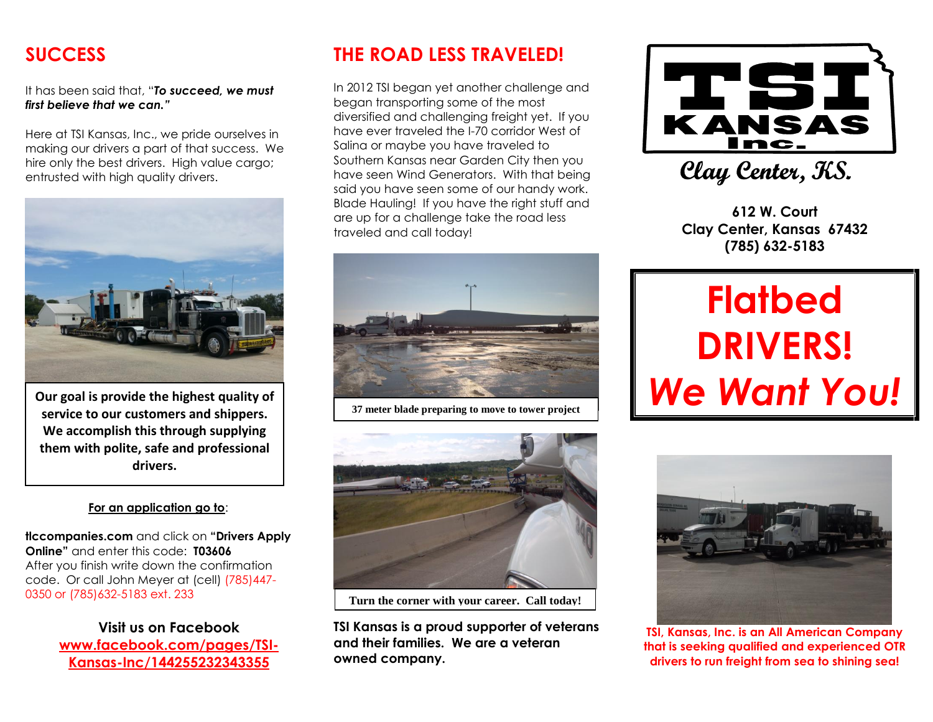## **SUCCESS**

It has been said that, "*To succeed, we must first believe that we can."*

Here at TSI Kansas, Inc., we pride ourselves in making our drivers a part of that success. We hire only the best drivers. High value cargo; entrusted with high quality drivers.



**Our goal is provide the highest quality of service to our customers and shippers. We accomplish this through supplying them with polite, safe and professional drivers.**

#### **For an application go to**:

**tlccompanies.com** and click on **"Drivers Apply Online"** and enter this code: **T03606** After you finish write down the confirmation code. Or call John Meyer at (cell) (785)447- 0350 or (785)632-5183 ext. 233

> **Visit us on Facebook [www.facebook.com/pages/TSI-](http://www.facebook.com/pages/TSI-Kansas-Inc/144255232343355)[Kansas-Inc/144255232343355](http://www.facebook.com/pages/TSI-Kansas-Inc/144255232343355)**

## **THE ROAD LESS TRAVELED!**

In 2012 TSI began yet another challenge and began transporting some of the most diversified and challenging freight yet. If you have ever traveled the I-70 corridor West of Salina or maybe you have traveled to Southern Kansas near Garden City then you have seen Wind Generators. With that being said you have seen some of our handy work. Blade Hauling! If you have the right stuff and are up for a challenge take the road less traveled and call today!



**37 meter blade preparing to move to tower project**



**Turn the corner with your career. Call today!**

**TSI Kansas is a proud supporter of veterans and their families. We are a veteran owned company.** 



Clay Center, KS.

**612 W. Court Clay Center, Kansas 67432 (785) 632-5183**

# **Flatbed DRIVERS!** *We Want You!*



**TSI, Kansas, Inc. is an All American Company that is seeking qualified and experienced OTR drivers to run freight from sea to shining sea!**